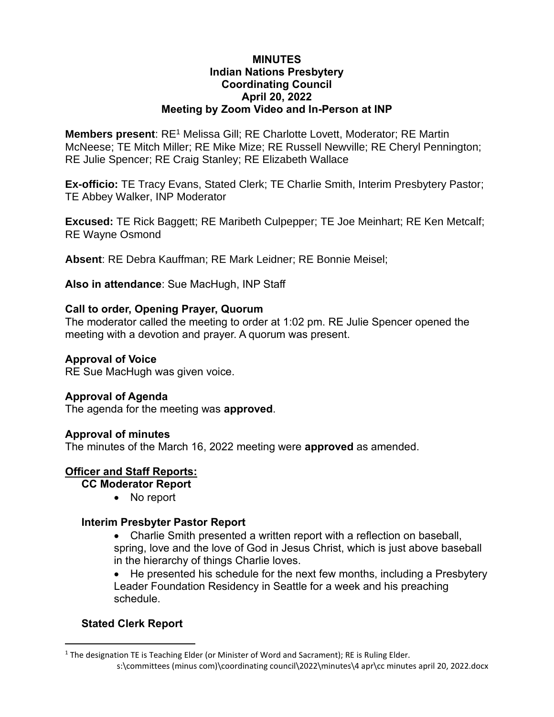#### **MINUTES Indian Nations Presbytery Coordinating Council April 20, 2022 Meeting by Zoom Video and In-Person at INP**

**Members present:** RE<sup>1</sup> Melissa Gill; RE Charlotte Lovett, Moderator; RE Martin McNeese; TE Mitch Miller; RE Mike Mize; RE Russell Newville; RE Cheryl Pennington; RE Julie Spencer; RE Craig Stanley; RE Elizabeth Wallace

**Ex-officio:** TE Tracy Evans, Stated Clerk; TE Charlie Smith, Interim Presbytery Pastor; TE Abbey Walker, INP Moderator

**Excused:** TE Rick Baggett; RE Maribeth Culpepper; TE Joe Meinhart; RE Ken Metcalf; RE Wayne Osmond

**Absent**: RE Debra Kauffman; RE Mark Leidner; RE Bonnie Meisel;

**Also in attendance**: Sue MacHugh, INP Staff

#### **Call to order, Opening Prayer, Quorum**

The moderator called the meeting to order at 1:02 pm. RE Julie Spencer opened the meeting with a devotion and prayer. A quorum was present.

#### **Approval of Voice**

RE Sue MacHugh was given voice.

### **Approval of Agenda**

The agenda for the meeting was **approved**.

#### **Approval of minutes**

The minutes of the March 16, 2022 meeting were **approved** as amended.

### **Officer and Staff Reports:**

**CC Moderator Report** 

• No report

#### **Interim Presbyter Pastor Report**

• Charlie Smith presented a written report with a reflection on baseball, spring, love and the love of God in Jesus Christ, which is just above baseball in the hierarchy of things Charlie loves.

• He presented his schedule for the next few months, including a Presbytery Leader Foundation Residency in Seattle for a week and his preaching schedule.

# **Stated Clerk Report**

s:\committees (minus com)\coordinating council\2022\minutes\4 apr\cc minutes april 20, 2022.docx <sup>1</sup> The designation TE is Teaching Elder (or Minister of Word and Sacrament); RE is Ruling Elder.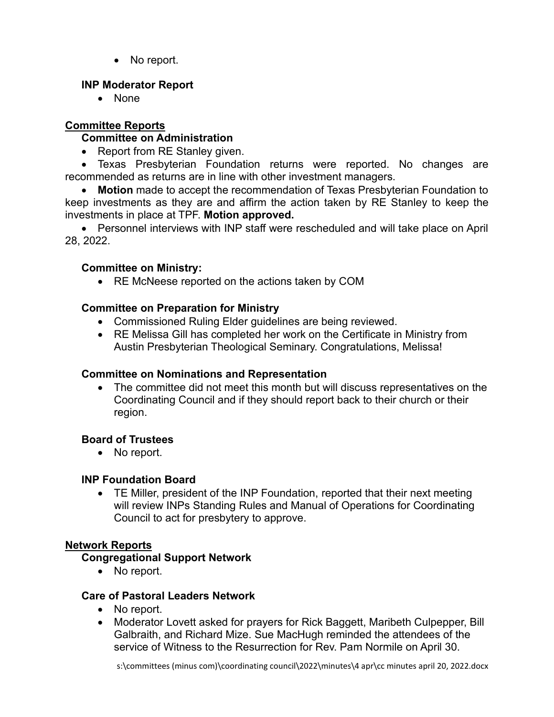• No report.

# **INP Moderator Report**

• None

# **Committee Reports**

# **Committee on Administration**

• Report from RE Stanley given.

• Texas Presbyterian Foundation returns were reported. No changes are recommended as returns are in line with other investment managers.

• **Motion** made to accept the recommendation of Texas Presbyterian Foundation to keep investments as they are and affirm the action taken by RE Stanley to keep the investments in place at TPF. **Motion approved.**

• Personnel interviews with INP staff were rescheduled and will take place on April 28, 2022.

# **Committee on Ministry:**

• RE McNeese reported on the actions taken by COM

# **Committee on Preparation for Ministry**

- Commissioned Ruling Elder guidelines are being reviewed.
- RE Melissa Gill has completed her work on the Certificate in Ministry from Austin Presbyterian Theological Seminary. Congratulations, Melissa!

### **Committee on Nominations and Representation**

• The committee did not meet this month but will discuss representatives on the Coordinating Council and if they should report back to their church or their region.

# **Board of Trustees**

• No report.

### **INP Foundation Board**

• TE Miller, president of the INP Foundation, reported that their next meeting will review INPs Standing Rules and Manual of Operations for Coordinating Council to act for presbytery to approve.

# **Network Reports**

### **Congregational Support Network**

• No report.

### **Care of Pastoral Leaders Network**

- No report.
- Moderator Lovett asked for prayers for Rick Baggett, Maribeth Culpepper, Bill Galbraith, and Richard Mize. Sue MacHugh reminded the attendees of the service of Witness to the Resurrection for Rev. Pam Normile on April 30.

s:\committees (minus com)\coordinating council\2022\minutes\4 apr\cc minutes april 20, 2022.docx